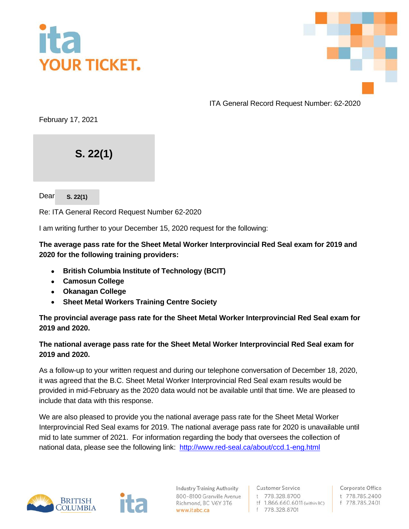



ITA General Record Request Number: 62-2020

February 17, 2021

**S. 22(1)** 302-791 Goldstream Avenue

Dear **s. 22(1)** 

Re: ITA General Record Request Number 62-2020

I am writing further to your December 15, 2020 request for the following:

**The average pass rate for the Sheet Metal Worker Interprovincial Red Seal exam for 2019 and 2020 for the following training providers:**

- **British Columbia Institute of Technology (BCIT)**
- **Camosun College**
- **Okanagan College**
- **Sheet Metal Workers Training Centre Society**

**The provincial average pass rate for the Sheet Metal Worker Interprovincial Red Seal exam for 2019 and 2020.**

## **The national average pass rate for the Sheet Metal Worker Interprovincial Red Seal exam for 2019 and 2020.**

As a follow-up to your written request and during our telephone conversation of December 18, 2020, it was agreed that the B.C. Sheet Metal Worker Interprovincial Red Seal exam results would be provided in mid-February as the 2020 data would not be available until that time. We are pleased to include that data with this response.

We are also pleased to provide you the national average pass rate for the Sheet Metal Worker Interprovincial Red Seal exams for 2019. The national average pass rate for 2020 is unavailable until mid to late summer of 2021. For information regarding the body that oversees the collection of national data, please see the following link: <http://www.red-seal.ca/about/ccd.1-eng.html>



**Industry Training Authority** 800-8100 Granville Avenue Richmond, BC V6Y 3T6 www.itabc.ca

**Customer Service** t 778.328.8700 tf 1.866.660.6011 (within BC) f 778.328.8701

Corporate Office t 778.785.2400 f 778.785.2401